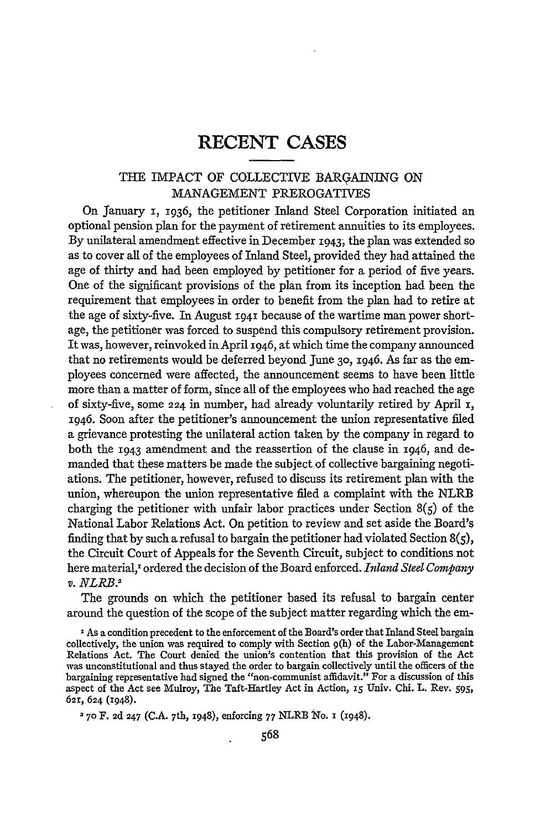## RECENT **CASES**

## THE IMPACT OF COLLECTIVE BARGAINING ON MANAGEMENT PREROGATIVES

On January 1, 1936, the petitioner Inland Steel Corporation initiated an optional pension plan for the payment of retirement annuities to its employees. By unilateral amendment effective in December 1943; the plan was extended so as to cover all of the employees of Inland Steel, provided they had attained the age of thirty and had been employed by petitioner for a period of five years. One of the significant provisions of the plan from its inception had been the requirement that employees in order to benefit from the plan had to retire at the age of sixty-five. In August **1941** because of the wartime man power shortage, the petitioner was forced to suspend this compulsory retirement provision. It was, however, reinvoked in April 1946, at which time the company announced that no retirements would be deferred beyond June **30,** 1946. As far as the employees concerned were affected, the announcement seems to have been little more than a matter of form, since all of the employees who had reached the age of sixty-five, some 224 in number, had already voluntarily retired by April i, 1946. Soon after the petitioner's announcement the union representative filed a grievance protesting the unilateral action taken by the company in regard to both the 1943 amendment and the reassertion of the clause in 1946, and demanded that these matters be made the subject of collective bargaining negotiations. The petitioner, however, refused to discuss its retirement plan with the union, whereupon the union representative filed a complaint with the NLRB charging the petitioner with unfair labor practices under Section  $8(5)$  of the National Labor Relations Act. On petition to review and set aside the Board's finding that by such a refusal to bargain the petitioner had violated Section  $8(5)$ , the Circuit Court of Appeals for the Seventh Circuit, subject to conditions not here material,' ordered the decision of the Board enforced. *Inland Steel Company v. NLRB.2*

The grounds on which the petitioner based its refusal to bargain center around the question of the scope of the subject matter regarding which the em-

**I** As a condition precedent to the enforcement of the Board's order that Inland Steel bargain collectively, the union was required to comply with Section **9(h)** of the Labor-Management Relations Act. The Court denied the union's contention that this provision of the Act was unconstitutional and thus stayed the order to bargain collectively until the officers of the bargaining representative had signed the "non-communist affidavit." For a discussion of this aspect of the Act see Muroy, The Taft-Hartley Act in Action, **iS** Univ. Chi. L. Rev. **595,** 62r, 624 (1948).

2 7o F. **2d** 247 (C.A. 7th, 1948), enforcing 77 NLRB No. 1 (1948).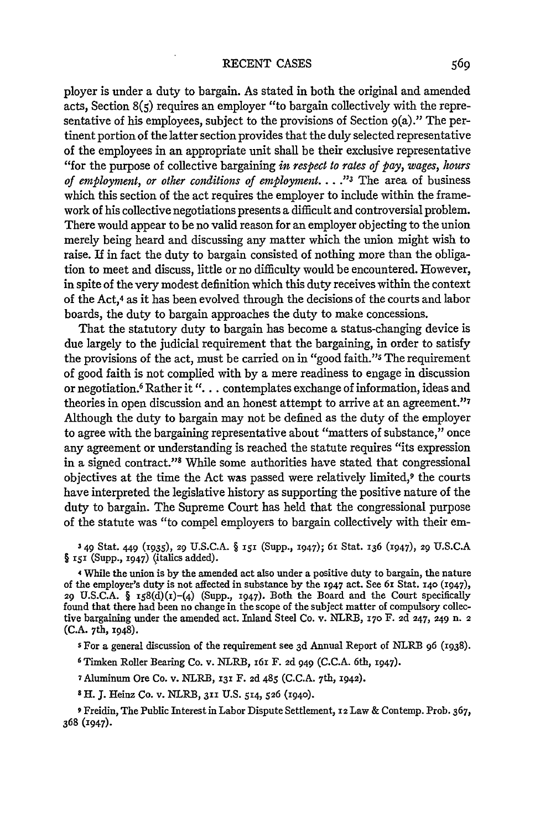ployer is under a duty to bargain. As stated in both the original and amended acts, Section  $8(5)$  requires an employer "to bargain collectively with the representative of his employees, subject to the provisions of Section  $g(a)$ ." The pertinent portion of the latter section provides that the duly selected representative of the employees in an appropriate unit shall be their exclusive representative "for the purpose of collective bargaining *in respect to rates of pay, wages, hours of employment, or other conditions of employment* .... *13* The area of business which this section of the act requires the employer to include within the framework of his collective negotiations presents a difficult and controversial problem. There would appear to be no valid reason for an employer objecting to the union merely being heard and discussing any matter which the union might wish to raise. If in fact the duty to bargain consisted of nothing more than the obligation to meet and discuss, little or no difficulty would be encountered. However, in spite of the very modest definition which this duty receives within the context of the Act,4 as it has been evolved through the decisions of the courts and labor boards, the duty to bargain approaches the duty to make concessions.

That the statutory duty to bargain has become a status-changing device is due largely to the judicial requirement that the bargaining, in order to satisfy the provisions of the act, must be carried on in "good faith."s The requirement of good faith is not complied with by a mere readiness to engage in discussion or negotiation. 6 Rather it *"....* contemplates exchange of information, ideas and theories in open discussion and an honest attempt to arrive at an agreement."7 Although the duty to bargain may not be defined as the duty of the employer to agree with the bargaining representative about "matters of substance," once any agreement or understanding is reached the statute requires "its expression in a signed contract."<sup>8</sup> While some authorities have stated that congressional objectives at the time the Act was passed were relatively limited,<sup>9</sup> the courts have interpreted the legislative history as supporting the positive nature of the duty to bargain. The Supreme Court has held that the congressional purpose of the statute was "to compel employers to bargain collectively with their em-

**3** 49 Stat. 449 (1935), 29 U.S.C.A. § *i5* (Supp., 1947); 61 Stat. **136** (r947), 29 U.S.C.A § **151** (Supp., 1947) (italics added).

4 While the union is by the amended act also under a positive duty to bargain, the nature of the employer's duty is not affected in substance **by** the 1947 act. See 6i Stat. **140** (i947), 29 U.S.C.A. §  $158(d)(1)-(4)$  (Supp., 1947). Both the Board and the Court specifically found that there had been no change in the scope of the subject matter of compulsory collective bargaining under the amended act. Inland Steel Co. v. NLRB, **170** F. **2d** 247, 249 n. 2 (C.A. 7th, 1948).

**5** For a general discussion of the requirement see 3d Annual Report of NLRB **96** (1938).

- **6** Timken Roller Bearing Co. v. NLRB, 161 F. 2d 949 (C.C.A. 6th, 1947).
- **7** Aluminum Ore Co. v. NLRB, **131** F. **2d** 485 (C.C.A. 7th, 1942).
- ' H. J. Heinz Co. v. NLRB, **311** U.S. **514, 526** (1940).

**9** Freidin, The Public Interest in Labor Dispute Settlement, **12** Law & Contemp. Prob. 367, 368 (1947).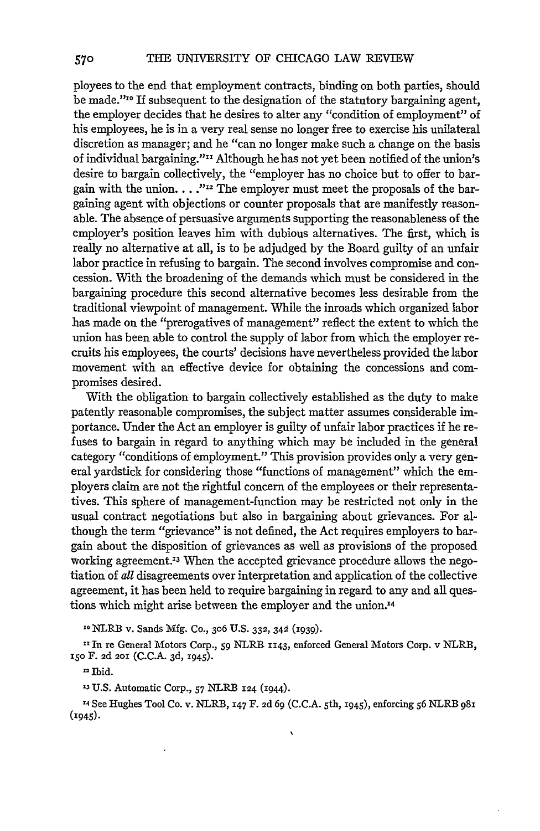ployees to the end that employment contracts, binding on both parties, should be made."<sup>10</sup> If subsequent to the designation of the statutory bargaining agent, the employer decides that he desires to alter any "condition of employment" of his employees, he is in a very real sense no longer free to exercise his unilateral discretion as manager; and he "can no longer make such a change on the basis of individual bargaining."<sup>11</sup> Although he has not yet been notified of the union's desire to bargain collectively, the "employer has no choice but to offer to bargain with the union. . . .<sup>"12</sup> The employer must meet the proposals of the bargaining agent with objections or counter proposals that are manifestly reasonable. The absence of persuasive arguments supporting the reasonableness of the employer's position leaves him with dubious alternatives. The first, which is really no alternative at all, is to be adjudged by the Board guilty of an unfair labor practice in refusing to bargain. The second involves compromise and concession. With the broadening of the demands which must be considered in the bargaining procedure this second alternative becomes less desirable from the traditional viewpoint of management. While the inroads which organized labor has made on the "prerogatives of management" reflect the extent to which the union has been able to control the supply of labor from which the employer recruits his employees, the courts' decisions have nevertheless provided the labor movement with an effective device for obtaining the concessions and compromises desired.

With the obligation to bargain collectively established as the duty to make patently reasonable compromises, the subject matter assumes considerable importance. Under the Act an employer is guilty of unfair labor practices if he refuses to bargain in regard to anything which may be included in the general category "conditions of employment." This provision provides only a very general yardstick for considering those "functions of management" which the employers claim are not the rightful concern of the employees or their representatives. This sphere of management-function may be restricted not only in the usual contract negotiations but also in bargaining about grievances. For although the term "grievance" is not defined, the Act requires employers to bargain about the disposition of grievances as well as provisions of the proposed working agreement.<sup>13</sup> When the accepted grievance procedure allows the negotiation of all disagreements over interpretation and application of the collective agreement, it has been held to require bargaining in regard to any and all questions which might arise between the employer and the union.<sup>14</sup>

<sup>10</sup> NLRB v. Sands Mfg. Co., 306 U.S. 332, 342 (1939).

**1"** In re General Motors Corp., **59** NLRR **1143,** enforced General Motors Corp. v NLRB, i5o F. 2d **201** (C.C.A. 3d, x945).

**-** Ibid.

**13 U.S.** Automatic Corp., **57** NLRB **124 (1944).**

**'4** See Hughes Tool Co. v. NLRB, **147** F. **2d 69 (C.C.A.** 5th, 1945), enforcing **56** NLRB **98i** (1945).

 $\lambda$ 

570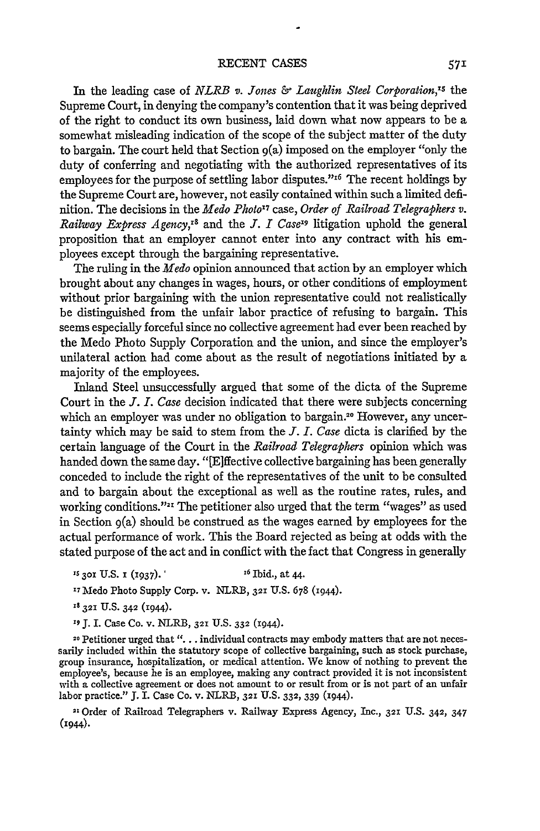In the leading case of *NLRB v. Jones & Laughlin Steel Corporation,"s the* Supreme Court, in denying the company's contention that it was being deprived of the right to conduct its own business, laid down what now appears to be a somewhat misleading indication of the scope of the subject matter of the duty to bargain. The court held that Section 9(a) imposed on the employer "only the duty of conferring and negotiating with the authorized representatives of its employees for the purpose of settling labor disputes." $16$  The recent holdings by the Supreme Court are, however, not easily contained within such a limited definition. The decisions in the *Medo Photo17* case, *Order of Railroad Telegraphers v. Railway Express Agency,<sup>18</sup>* and the *J. I Case<sup>19</sup>* litigation uphold the general proposition that an employer cannot enter into any contract with his employees except through the bargaining representative.

The ruling in the *Medo* opinion announced that action by an employer which brought about any changes in wages, hours, or other conditions of employment without prior bargaining with the union representative could not realistically be distinguished from the unfair labor practice of refusing to bargain. This seems especially forceful since no collective agreement had ever been reached by the Medo Photo Supply Corporation and the union, and since the employer's unilateral action had come about as the result of negotiations initiated by a majority of the employees.

Inland Steel unsuccessfully argued that some of the dicta of the Supreme Court in the *J. I. Case* decision indicated that there were subjects concerning which an employer was under no obligation to bargain.<sup>20</sup> However, any uncertainty which may be said to stem from the *J. I. Case* dicta is clarified by the certain language of the Court in the *Railroad Telegraphers* opinion which was handed down the same day. "[E]ffective collective bargaining has been generally conceded to include the right of the representatives of the unit to be consulted and to bargain about the exceptional as well as the routine rates, rules, and working conditions."<sup>21</sup> The petitioner also urged that the term "wages" as used in Section 9(a) should be construed as the wages earned by employees for the actual performance of work. This the Board rejected as being at odds with the stated purpose of the act and in conflict with the fact that Congress in generally

- <sup>15</sup> **301 U.S. 1** (1937). <sup>16</sup> **Ibid., at 44.**
- '7Medo Photo Supply Corp. v. NLRB, **321** U.S. 678 (1944).

**is 321** U.S. 342 (1944).

**'9 J.** I. Case Co. v. NLRB, **321** U.S. **332** (1944).

**20** Petitioner urged that **". .** . individual contracts may embody matters that are not necessarily included within the statutory scope of collective bargaining, such as stock purchase, group insurance, hospitalization, or medical attention. We know of nothing to prevent the employee's, because he is an employee, making any contract provided it is not inconsistent with a collective agreement or does not amount to or result from or is not part of an unfair labor practice." J. I. Case Co. v. NLRB, **321** U.S. **332,** 339 (1944).

**"** Order of Railroad Telegraphers v. Railway Express Agency, Inc., 321 U.S. 342, 347 (1944).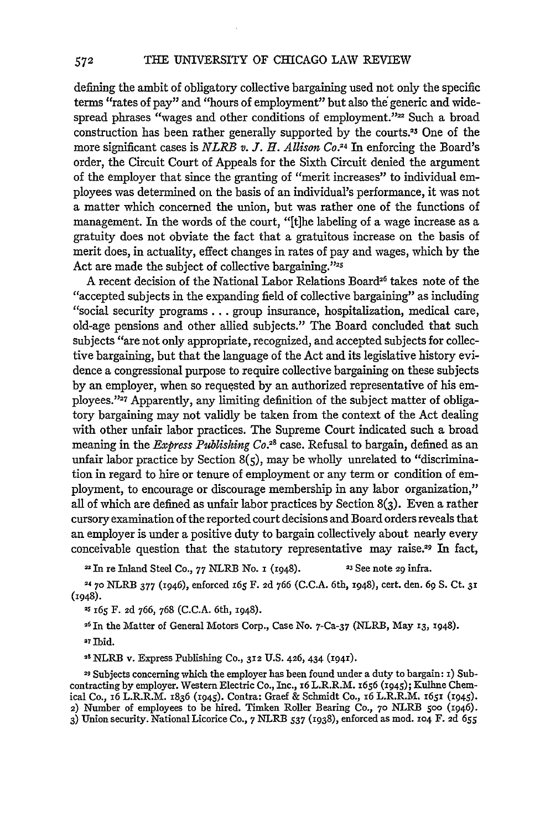defining the ambit of obligatory collective bargaining used not only the specific terms "rates of pay" and "hours of employment" but also the generic and widespread phrases "wages and other conditions of employment."<sup>22</sup> Such a broad construction has been rather generally supported by the courts.<sup>23</sup> One of the more significant cases is *NLRB v. J. H. Allison Co.24 In* enforcing the Board's order, the Circuit Court of Appeals for the Sixth Circuit denied the argument of the employer that since the granting of "merit increases" to individual employees was determined on the basis of an individual's performance, it was not a matter which concerned the union, but was rather one of the functions of management. In the words of the court, "[tihe labeling of a wage increase as a gratuity does not obviate the fact that a gratuitous increase on the basis of merit does, in actuality, effect changes in rates of pay and wages, which by the Act are made the subject of collective bargaining."25

A recent decision of the National Labor Relations Board<sup>26</sup> takes note of the "accepted subjects in the expanding field of collective bargaining" as including "social security programs... group insurance, hospitalization, medical care, old-age pensions and other allied subjects." The Board concluded that such subjects "are not only appropriate, recognized, and accepted subjects for collective bargaining, but that the language of the Act and its legislative history evidence a congressional purpose to require collective bargaining on these subjects by an employer, when so requested by an authorized representative of his employees."<sup>27</sup> Apparently, any limiting definition of the subject matter of obligatory bargaining may not validly be taken from the context of the Act dealing with other unfair labor practices. The Supreme Court indicated such a broad meaning in the *Express Publishing Co.28* case. Refusal to bargain, defined as an unfair labor practice by Section  $8(5)$ , may be wholly unrelated to "discrimination in regard to hire or tenure of employment or any term or condition of employment, to encourage or discourage membership in any labor organization," all of which are defined as unfair labor practices by Section 8(3). Even a rather cursory examination of the reported court decisions and Board orders reveals that an employer is under a positive duty to bargain collectively about nearly every conceivable question that the statutory representative may raise.29 In fact,

**-** In re Inland Steel Co., 77 NLRB No. **i** (1948). **23** See note 29 infra.

**'4 70** NLRB 377 (1946), enforced **i65** F. **2d 766 (C.C.A.** 6th, 1948), cert. den. **69 S.** Ct. **31** (1948).

*2s* **I65** F. **Ad** 766, **768 (C.C.A.** 6th, 1948).

**<sup>26</sup>**In the Matter of General Motors Corp., Case No. 7-Ca-37 (NLRB, May 13, 1948).

<sup>27</sup> Ibid.

'8 NLRB v. Express Publishing Co., **312** U.S. 426, 434 (1941).

**29** Subjects concerning which the employer has been found under a duty to bargain: **i)** Subcontracting by employer. Western Electric Co., Inc., i6 L.R.R.M. 1656 (x945); Kulhne Chemical Co., i6 L.R.R.M. 1836 (1945). Contra: Graef & Schmidt Co., 16 L.R.R.M. 1651 (1945). 2) Number of employees to be hired. Timken Roller Bearing Co., **70** NLRB **500** (1946). 3) Union security. National Licorice Co., 7 NLRB 537 (1938), enforced as mod. **104** F. **Ad** *655*

572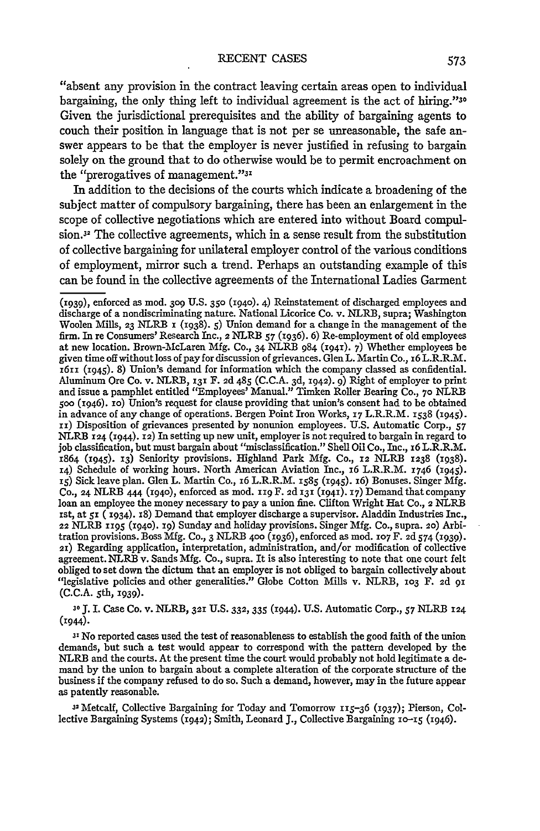"absent any provision in the contract leaving certain areas open to individual bargaining, the only thing left to individual agreement is the act of hiring."30 Given the jurisdictional prerequisites and the ability of bargaining agents to couch their position in language that is not per se unreasonable, the safe answer appears to be that the employer is never justified in refusing to bargain solely on the ground that to do otherwise would be to permit encroachment on the "prerogatives of management."<sup>31</sup>

In addition to the decisions of the courts which indicate a broadening of the subject matter of compulsory bargaining, there has been an enlargement in the scope of collective negotiations which are entered into without Board compulsion.<sup>32</sup> The collective agreements, which in a sense result from the substitution of collective bargaining for unilateral employer control of the various conditions of employment, mirror such a trend. Perhaps an outstanding example of this can be found in the collective agreements of the International Ladies Garment

**30 J.** I. Case Co. v. NLRB, **321** U.S. 332, 335 (I944). U.S. Automatic Corp., 57 NLRB **124 (1944).**

**<sup>31</sup>**No reported cases used the test of reasonableness to establish the good faith of the union demands, but such a test would appear to correspond with the pattern developed by the NLRB and the courts. At the present time the court would probably not hold legitimate a demand by the union to bargain about a complete alteration of the corporate structure of the business if the company refused to do so. Such a demand, however, may in the future appear as patently reasonable.

32 Metcalf, Collective Bargaining for Today and Tomorrow 115-36 **(1937);** Pierson, Collective Bargaining Systems (1942); Smith, Leonard **J.,** Collective Bargaining io-z5 (1946).

**<sup>(</sup>i939),** enforced as mod. **3o9** U.S. **350 (I94o).** 4) Reinstatement of discharged employees and discharge of a nondiscriminating nature. National Licorice Co. v. NLRB, supra; Washington Woolen Mills, **23** NLRB **i** (1938). 5) Union demand for a change in the management of the firm. In re Consumers' Research Inc., 2 NLRB 57 **(1936). 6)** Re-employment of old employees at new location. Brown-McLaren Mfg. Co., 34 **NLRB** 984 (1941). 7) Whether employees be given time off without loss of pay for discussion of grievances. Glen L. Martin Co., **16** L.R.R.M. z6i (i945). 8) Union's demand for information which the company classed as confidential. Aluminum Ore Co. v. NLRB, 131 F. **2d** 485 (C.C.A. **3d,** 1942). 9) Right of employer to print and issue a pamphlet entitled "Employees' Manual." Timken Roller Bearing Co., **70** NLRB **5oo** (1946). io) Union's request for clause providing that union's consent had to be obtained in advance of any change of operations. Bergen Point Iron Works, **I7** L.R.R.M. **1538** (1945). **ii)** Disposition of grievances presented **by** nonunion employees. U.S. Automatic Corp., 57 NLRB **124** (r944). 12) In setting up new unit, employer is not required to bargain in regard to **job** classification, but must bargain about "misclassification." Shell Oil Co., Inc., 16 L.R.R.M. 1864 (x945). 13) Seniority provisions. Highland Park Mfg. Co., 12 NLRB **1238 (1938).** 14) Schedule of working hours. North American Aviation Inc., **16** L.R.R.M. 1746 (1945). **i5)** Sick leave plan. Glen L. Martin Co., **i6** L.R.R.M. 1585 (1945). **i6)** Bonuses. Singer Mfg. Co., **24** NLRB 444 **(194o),** enforced as mod. rig F. **2d** 131 (1941). 17) Demand that company loan an employee the money necessary to **pay** a union fine. Clifton Wright Hat Co., 2 NLRB ist, at **5I** (1934). x8) Demand that employer discharge a supervisor. Aladdin Industries Inc., 22 NLRB 1195 **(194o). 19)** Sunday and holiday provisions. Singer Mfg. Co., supra. *2o)* Arbitration provisions. Boss Mfg. Co., 3 NLRB 4oo (1936), enforced as mod. **107** F. *2d* 574 (I939). 21) Regarding application, interpretation, administration, and/or modification of collective agreement. NLRB v. Sands Mfg. Co., supra. It is also interesting to note that one court felt obliged to set down the dictum that an employer is not obliged to bargain collectively about "legislative policies and other generalities." Globe Cotton Mills v. NLRB, **1o3** F. 2d **91 (C.C.A.** 5th, 1939).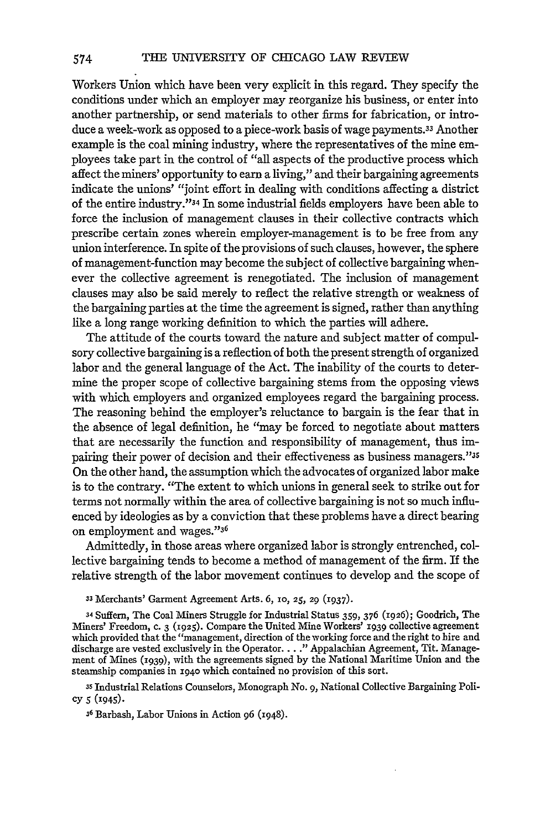Workers Union which have been very explicit in this regard. They specify the conditions under which an employer may reorganize his business, or enter into another partnership, or send materials to other firms for fabrication, or introduce a week-work as opposed to a piece-work basis of wage payments.<sup>33</sup> Another example is the coal mining industry, where the representatives of the mine employees take part in the control of "all aspects of the productive process which affect the miners' opportunity to earn a living," and their bargaining agreements indicate the unions' "joint effort in dealing with conditions affecting a district of the entire industry."34 In some industrial fields employers have been able to force the inclusion of management clauses in their collective contracts which prescribe certain zones wherein employer-management is to be free from any union interference. In spite of the provisions of such clauses, however, the sphere of management-function may become the subject of collective bargaining whenever the collective agreement is renegotiated. The inclusion of management clauses may also be said merely to reflect the relative strength or weakness of the bargaining parties at the time the agreement is signed, rather than anything like a long range working definition to which the parties will adhere.

The attitude of the courts toward the nature and subject matter of compulsory collective bargaining is a reflection of both the present strength of organized labor and the general language of the Act. The inability of the courts to determine the proper scope of collective bargaining stems from the opposing views with which employers and organized employees regard the bargaining process. The reasoning behind the employer's reluctance to bargain is the fear that in the absence of legal definition, he "may be forced to negotiate about matters that are necessarily the function and responsibility of management, thus impairing their power of decision and their effectiveness as business managers."35 On the other hand, the assumption which the advocates of organized labor make is to the contrary. "The extent to which unions in general seek to strike out for terms not normally within the area of collective bargaining is not so much influenced by ideologies as by a conviction that these problems have a direct bearing on employment and wages."36

Admittedly, in those areas where organized labor is strongly entrenched, collective bargaining tends to become a method of management of the firm. If the relative strength of the labor movement continues to develop and the scope of

**33** Merchants' Garment Agreement Arts. 6, **10, 25,** 29 (1937).

**<sup>34</sup>**Suffern, The Coal Miners Struggle for Industrial Status 359, 376 (1926); Goodrich, The Miners' Freedom, **C.** 3 (1925). Compare the United Mine Workers' 1939 collective agreement which provided that the "management, direction of the working force and the right to hire and discharge are vested exclusively in the Operator... **."** Appalachian Agreement, Tit. Management of Mines (1939), with the agreements signed by the National Maritime Union and the steamship companies in **1940** which contained no provision of this sort.

**35** Industrial Relations Counselors, Monograph No. **9,** National Collective Bargaining Policy 5 **(1945).**

**36** Barbash, Labor Unions in Action **96** (1948).

574